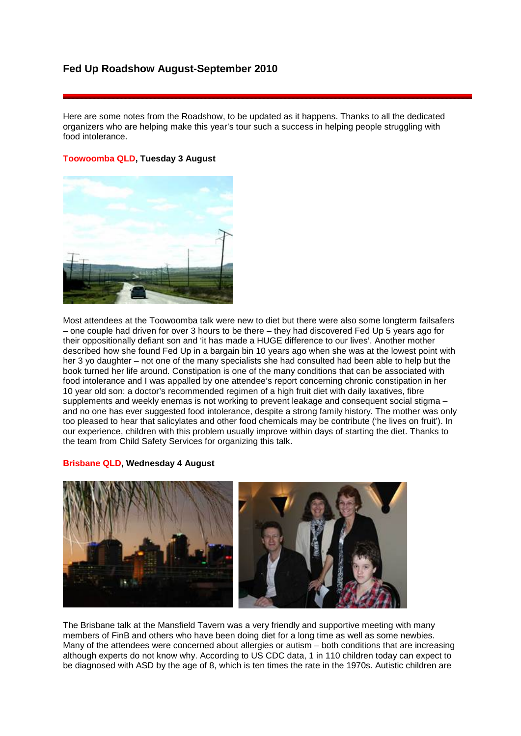# **Fed Up Roadshow August-September 2010**

Here are some notes from the Roadshow, to be updated as it happens. Thanks to all the dedicated organizers who are helping make this year's tour such a success in helping people struggling with food intolerance.

# **Toowoomba QLD, Tuesday 3 August**



Most attendees at the Toowoomba talk were new to diet but there were also some longterm failsafers – one couple had driven for over 3 hours to be there – they had discovered Fed Up 5 years ago for their oppositionally defiant son and 'it has made a HUGE difference to our lives'. Another mother described how she found Fed Up in a bargain bin 10 years ago when she was at the lowest point with her 3 yo daughter – not one of the many specialists she had consulted had been able to help but the book turned her life around. Constipation is one of the many conditions that can be associated with food intolerance and I was appalled by one attendee's report concerning chronic constipation in her 10 year old son: a doctor's recommended regimen of a high fruit diet with daily laxatives, fibre supplements and weekly enemas is not working to prevent leakage and consequent social stigma – and no one has ever suggested food intolerance, despite a strong family history. The mother was only too pleased to hear that salicylates and other food chemicals may be contribute ('he lives on fruit'). In our experience, children with this problem usually improve within days of starting the diet. Thanks to the team from Child Safety Services for organizing this talk.

#### **Brisbane QLD, Wednesday 4 August**



The Brisbane talk at the Mansfield Tavern was a very friendly and supportive meeting with many members of FinB and others who have been doing diet for a long time as well as some newbies. Many of the attendees were concerned about allergies or autism – both conditions that are increasing although experts do not know why. According to US CDC data, 1 in 110 children today can expect to be diagnosed with ASD by the age of 8, which is ten times the rate in the 1970s. Autistic children are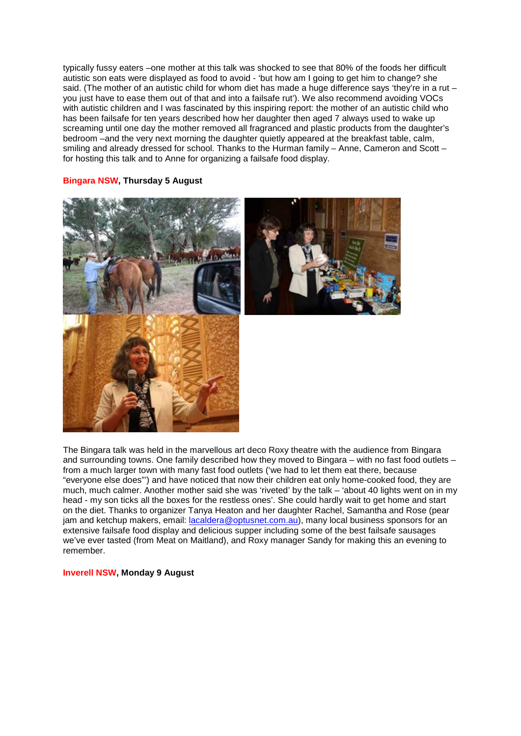typically fussy eaters –one mother at this talk was shocked to see that 80% of the foods her difficult autistic son eats were displayed as food to avoid - 'but how am I going to get him to change? she said. (The mother of an autistic child for whom diet has made a huge difference says 'they're in a rut – you just have to ease them out of that and into a failsafe rut'). We also recommend avoiding VOCs with autistic children and I was fascinated by this inspiring report: the mother of an autistic child who has been failsafe for ten years described how her daughter then aged 7 always used to wake up screaming until one day the mother removed all fragranced and plastic products from the daughter's bedroom –and the very next morning the daughter quietly appeared at the breakfast table, calm, smiling and already dressed for school. Thanks to the Hurman family – Anne, Cameron and Scott – for hosting this talk and to Anne for organizing a failsafe food display.

### **Bingara NSW, Thursday 5 August**





The Bingara talk was held in the marvellous art deco Roxy theatre with the audience from Bingara and surrounding towns. One family described how they moved to Bingara – with no fast food outlets – from a much larger town with many fast food outlets ('we had to let them eat there, because "everyone else does"') and have noticed that now their children eat only home-cooked food, they are much, much calmer. Another mother said she was 'riveted' by the talk – 'about 40 lights went on in my head - my son ticks all the boxes for the restless ones'. She could hardly wait to get home and start on the diet. Thanks to organizer Tanya Heaton and her daughter Rachel, Samantha and Rose (pear jam and ketchup makers, email: [lacaldera@optusnet.com.au\)](mailto:lacaldera@optusnet.com.au), many local business sponsors for an extensive failsafe food display and delicious supper including some of the best failsafe sausages we've ever tasted (from Meat on Maitland), and Roxy manager Sandy for making this an evening to remember.

#### **Inverell NSW, Monday 9 August**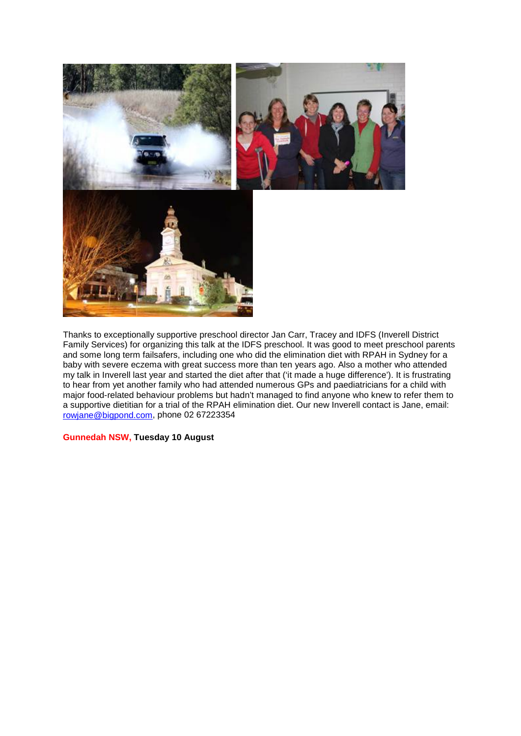

Thanks to exceptionally supportive preschool director Jan Carr, Tracey and IDFS (Inverell District Family Services) for organizing this talk at the IDFS preschool. It was good to meet preschool parents and some long term failsafers, including one who did the elimination diet with RPAH in Sydney for a baby with severe eczema with great success more than ten years ago. Also a mother who attended my talk in Inverell last year and started the diet after that ('it made a huge difference'). It is frustrating to hear from yet another family who had attended numerous GPs and paediatricians for a child with major food-related behaviour problems but hadn't managed to find anyone who knew to refer them to a supportive dietitian for a trial of the RPAH elimination diet. Our new Inverell contact is Jane, email: [rowjane@bigpond.com,](mailto:rowjane@bigpond.com) phone 02 67223354

# **Gunnedah NSW, Tuesday 10 August**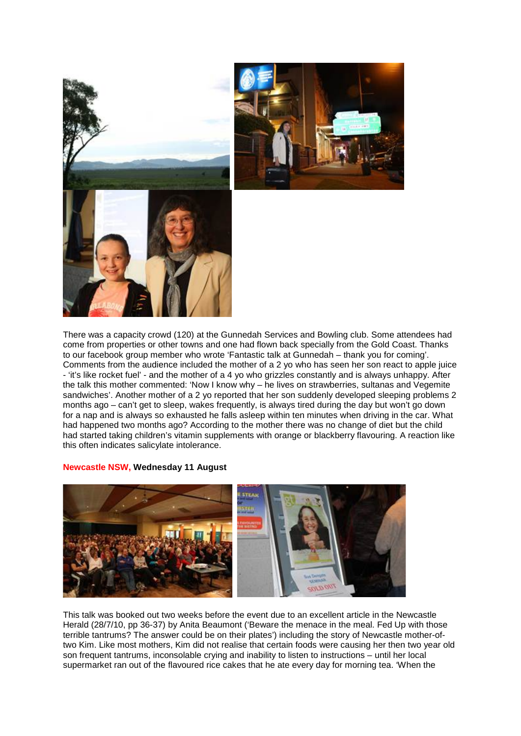



There was a capacity crowd (120) at the Gunnedah Services and Bowling club. Some attendees had come from properties or other towns and one had flown back specially from the Gold Coast. Thanks to our facebook group member who wrote 'Fantastic talk at Gunnedah – thank you for coming'. Comments from the audience included the mother of a 2 yo who has seen her son react to apple juice - 'it's like rocket fuel' - and the mother of a 4 yo who grizzles constantly and is always unhappy. After the talk this mother commented: 'Now I know why – he lives on strawberries, sultanas and Vegemite sandwiches'. Another mother of a 2 yo reported that her son suddenly developed sleeping problems 2 months ago – can't get to sleep, wakes frequently, is always tired during the day but won't go down for a nap and is always so exhausted he falls asleep within ten minutes when driving in the car. What had happened two months ago? According to the mother there was no change of diet but the child had started taking children's vitamin supplements with orange or blackberry flavouring. A reaction like this often indicates salicylate intolerance.

#### **Newcastle NSW, Wednesday 11 August**



This talk was booked out two weeks before the event due to an excellent article in the Newcastle Herald (28/7/10, pp 36-37) by Anita Beaumont ('Beware the menace in the meal. Fed Up with those terrible tantrums? The answer could be on their plates') including the story of Newcastle mother-oftwo Kim. Like most mothers, Kim did not realise that certain foods were causing her then two year old son frequent tantrums, inconsolable crying and inability to listen to instructions – until her local supermarket ran out of the flavoured rice cakes that he ate every day for morning tea. 'When the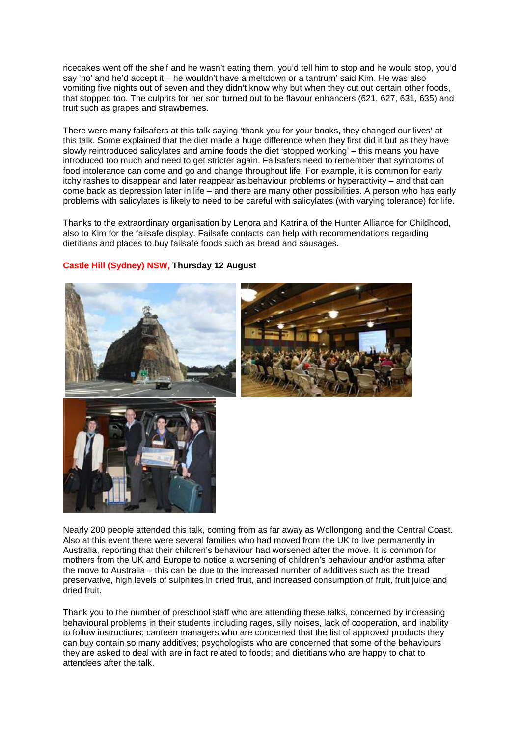ricecakes went off the shelf and he wasn't eating them, you'd tell him to stop and he would stop, you'd say 'no' and he'd accept it – he wouldn't have a meltdown or a tantrum' said Kim. He was also vomiting five nights out of seven and they didn't know why but when they cut out certain other foods, that stopped too. The culprits for her son turned out to be flavour enhancers (621, 627, 631, 635) and fruit such as grapes and strawberries.

There were many failsafers at this talk saying 'thank you for your books, they changed our lives' at this talk. Some explained that the diet made a huge difference when they first did it but as they have slowly reintroduced salicylates and amine foods the diet 'stopped working' – this means you have introduced too much and need to get stricter again. Failsafers need to remember that symptoms of food intolerance can come and go and change throughout life. For example, it is common for early itchy rashes to disappear and later reappear as behaviour problems or hyperactivity – and that can come back as depression later in life – and there are many other possibilities. A person who has early problems with salicylates is likely to need to be careful with salicylates (with varying tolerance) for life.

Thanks to the extraordinary organisation by Lenora and Katrina of the Hunter Alliance for Childhood, also to Kim for the failsafe display. Failsafe contacts can help with recommendations regarding dietitians and places to buy failsafe foods such as bread and sausages.

# **Castle Hill (Sydney) NSW, Thursday 12 August**





Nearly 200 people attended this talk, coming from as far away as Wollongong and the Central Coast. Also at this event there were several families who had moved from the UK to live permanently in Australia, reporting that their children's behaviour had worsened after the move. It is common for mothers from the UK and Europe to notice a worsening of children's behaviour and/or asthma after the move to Australia – this can be due to the increased number of additives such as the bread preservative, high levels of sulphites in dried fruit, and increased consumption of fruit, fruit juice and dried fruit.

Thank you to the number of preschool staff who are attending these talks, concerned by increasing behavioural problems in their students including rages, silly noises, lack of cooperation, and inability to follow instructions; canteen managers who are concerned that the list of approved products they can buy contain so many additives; psychologists who are concerned that some of the behaviours they are asked to deal with are in fact related to foods; and dietitians who are happy to chat to attendees after the talk.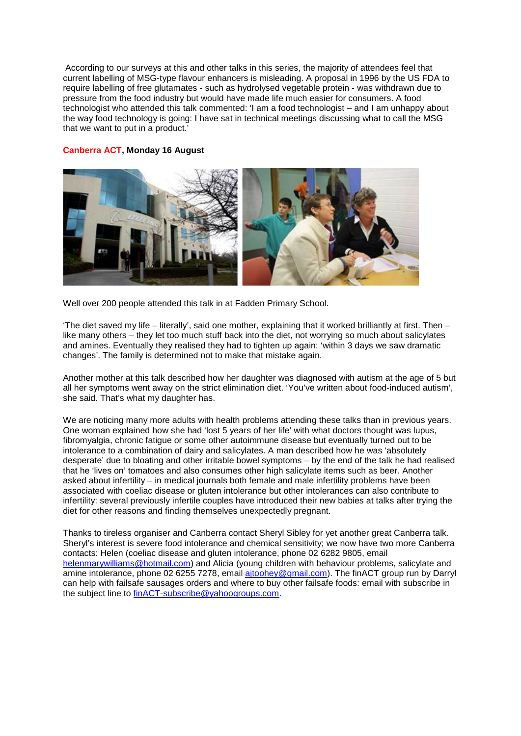According to our surveys at this and other talks in this series, the majority of attendees feel that current labelling of MSG-type flavour enhancers is misleading. A proposal in 1996 by the US FDA to require labelling of free glutamates - such as hydrolysed vegetable protein - was withdrawn due to pressure from the food industry but would have made life much easier for consumers. A food technologist who attended this talk commented: 'I am a food technologist – and I am unhappy about the way food technology is going: I have sat in technical meetings discussing what to call the MSG that we want to put in a product.'

# **Canberra ACT, Monday 16 August**



Well over 200 people attended this talk in at Fadden Primary School.

'The diet saved my life – literally', said one mother, explaining that it worked brilliantly at first. Then – like many others – they let too much stuff back into the diet, not worrying so much about salicylates and amines. Eventually they realised they had to tighten up again: 'within 3 days we saw dramatic changes'. The family is determined not to make that mistake again.

Another mother at this talk described how her daughter was diagnosed with autism at the age of 5 but all her symptoms went away on the strict elimination diet. 'You've written about food-induced autism', she said. That's what my daughter has.

We are noticing many more adults with health problems attending these talks than in previous years. One woman explained how she had 'lost 5 years of her life' with what doctors thought was lupus, fibromyalgia, chronic fatigue or some other autoimmune disease but eventually turned out to be intolerance to a combination of dairy and salicylates. A man described how he was 'absolutely desperate' due to bloating and other irritable bowel symptoms – by the end of the talk he had realised that he 'lives on' tomatoes and also consumes other high salicylate items such as beer. Another asked about infertility – in medical journals both female and male infertility problems have been associated with coeliac disease or gluten intolerance but other intolerances can also contribute to infertility: several previously infertile couples have introduced their new babies at talks after trying the diet for other reasons and finding themselves unexpectedly pregnant.

Thanks to tireless organiser and Canberra contact Sheryl Sibley for yet another great Canberra talk. Sheryl's interest is severe food intolerance and chemical sensitivity; we now have two more Canberra contacts: Helen (coeliac disease and gluten intolerance, phone 02 6282 9805, email [helenmarywilliams@hotmail.com\)](mailto:helenmarywilliams@hotmail.com) and Alicia (young children with behaviour problems, salicylate and amine intolerance, phone 02 6255 7278, email [ajtoohey@gmail.com\)](mailto:ajtoohey@gmail.com). The finACT group run by Darryl can help with failsafe sausages orders and where to buy other failsafe foods: email with subscribe in the subject line to [finACT-subscribe@yahoogroups.com.](mailto:finACT-subscribe@yahoogroups.com)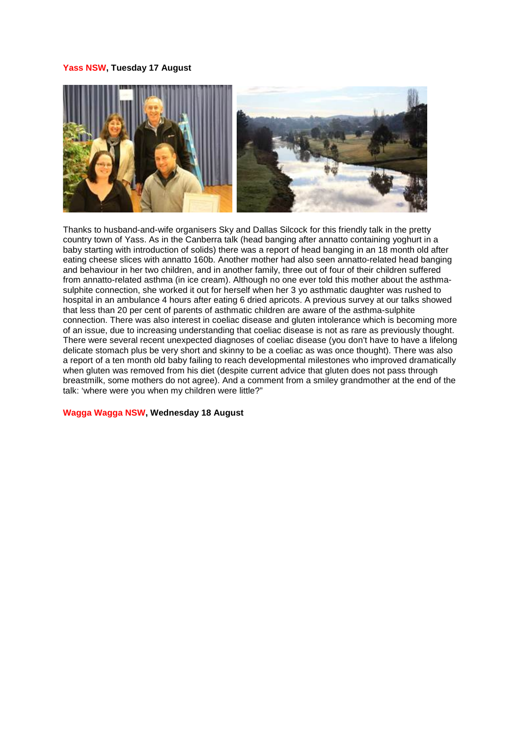#### **Yass NSW, Tuesday 17 August**



Thanks to husband-and-wife organisers Sky and Dallas Silcock for this friendly talk in the pretty country town of Yass. As in the Canberra talk (head banging after annatto containing yoghurt in a baby starting with introduction of solids) there was a report of head banging in an 18 month old after eating cheese slices with annatto 160b. Another mother had also seen annatto-related head banging and behaviour in her two children, and in another family, three out of four of their children suffered from annatto-related asthma (in ice cream). Although no one ever told this mother about the asthmasulphite connection, she worked it out for herself when her 3 yo asthmatic daughter was rushed to hospital in an ambulance 4 hours after eating 6 dried apricots. A previous survey at our talks showed that less than 20 per cent of parents of asthmatic children are aware of the asthma-sulphite connection. There was also interest in coeliac disease and gluten intolerance which is becoming more of an issue, due to increasing understanding that coeliac disease is not as rare as previously thought. There were several recent unexpected diagnoses of coeliac disease (you don't have to have a lifelong delicate stomach plus be very short and skinny to be a coeliac as was once thought). There was also a report of a ten month old baby failing to reach developmental milestones who improved dramatically when gluten was removed from his diet (despite current advice that gluten does not pass through breastmilk, some mothers do not agree). And a comment from a smiley grandmother at the end of the talk: 'where were you when my children were little?"

#### **Wagga Wagga NSW, Wednesday 18 August**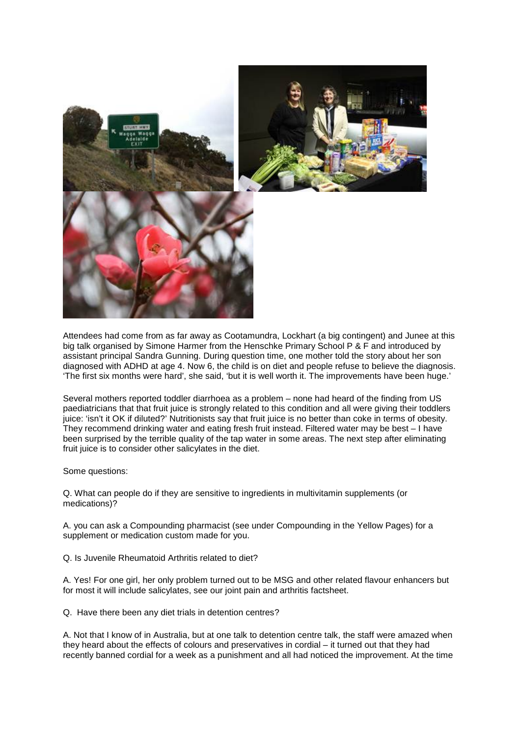

Attendees had come from as far away as Cootamundra, Lockhart (a big contingent) and Junee at this big talk organised by Simone Harmer from the Henschke Primary School P & F and introduced by assistant principal Sandra Gunning. During question time, one mother told the story about her son diagnosed with ADHD at age 4. Now 6, the child is on diet and people refuse to believe the diagnosis. 'The first six months were hard', she said, 'but it is well worth it. The improvements have been huge.'

Several mothers reported toddler diarrhoea as a problem – none had heard of the finding from US paediatricians that that fruit juice is strongly related to this condition and all were giving their toddlers juice: 'isn't it OK if diluted?' Nutritionists say that fruit juice is no better than coke in terms of obesity. They recommend drinking water and eating fresh fruit instead. Filtered water may be best – I have been surprised by the terrible quality of the tap water in some areas. The next step after eliminating fruit juice is to consider other salicylates in the diet.

Some questions:

Q. What can people do if they are sensitive to ingredients in multivitamin supplements (or medications)?

A. you can ask a Compounding pharmacist (see under Compounding in the Yellow Pages) for a supplement or medication custom made for you.

Q. Is Juvenile Rheumatoid Arthritis related to diet?

A. Yes! For one girl, her only problem turned out to be MSG and other related flavour enhancers but for most it will include salicylates, see our joint pain and arthritis factsheet.

Q. Have there been any diet trials in detention centres?

A. Not that I know of in Australia, but at one talk to detention centre talk, the staff were amazed when they heard about the effects of colours and preservatives in cordial – it turned out that they had recently banned cordial for a week as a punishment and all had noticed the improvement. At the time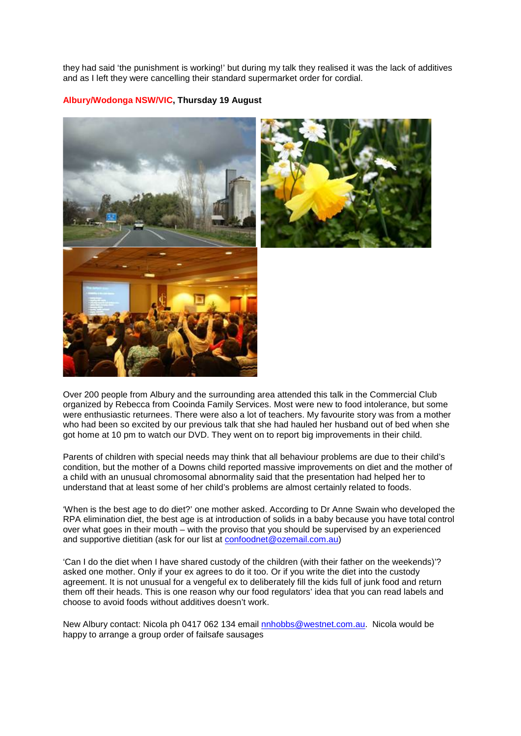they had said 'the punishment is working!' but during my talk they realised it was the lack of additives and as I left they were cancelling their standard supermarket order for cordial.

# **Albury/Wodonga NSW/VIC, Thursday 19 August**





Over 200 people from Albury and the surrounding area attended this talk in the Commercial Club organized by Rebecca from Cooinda Family Services. Most were new to food intolerance, but some were enthusiastic returnees. There were also a lot of teachers. My favourite story was from a mother who had been so excited by our previous talk that she had hauled her husband out of bed when she got home at 10 pm to watch our DVD. They went on to report big improvements in their child.

Parents of children with special needs may think that all behaviour problems are due to their child's condition, but the mother of a Downs child reported massive improvements on diet and the mother of a child with an unusual chromosomal abnormality said that the presentation had helped her to understand that at least some of her child's problems are almost certainly related to foods.

'When is the best age to do diet?' one mother asked. According to Dr Anne Swain who developed the RPA elimination diet, the best age is at introduction of solids in a baby because you have total control over what goes in their mouth – with the proviso that you should be supervised by an experienced and supportive dietitian (ask for our list at [confoodnet@ozemail.com.au\)](mailto:confoodnet@ozemail.com.au)

'Can I do the diet when I have shared custody of the children (with their father on the weekends)'? asked one mother. Only if your ex agrees to do it too. Or if you write the diet into the custody agreement. It is not unusual for a vengeful ex to deliberately fill the kids full of junk food and return them off their heads. This is one reason why our food regulators' idea that you can read labels and choose to avoid foods without additives doesn't work.

New Albury contact: Nicola ph 0417 062 134 email [nnhobbs@westnet.com.au.](mailto:nnhobbs@westnet.com.au) Nicola would be happy to arrange a group order of failsafe sausages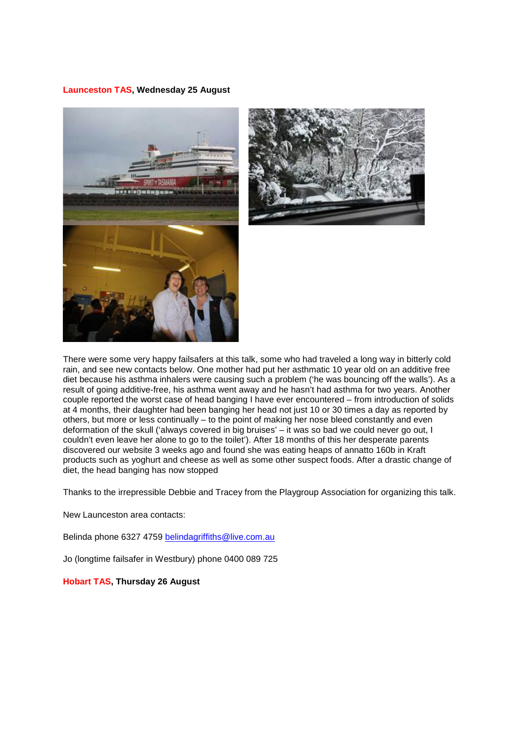#### **Launceston TAS, Wednesday 25 August**





There were some very happy failsafers at this talk, some who had traveled a long way in bitterly cold rain, and see new contacts below. One mother had put her asthmatic 10 year old on an additive free diet because his asthma inhalers were causing such a problem ('he was bouncing off the walls'). As a result of going additive-free, his asthma went away and he hasn't had asthma for two years. Another couple reported the worst case of head banging I have ever encountered – from introduction of solids at 4 months, their daughter had been banging her head not just 10 or 30 times a day as reported by others, but more or less continually – to the point of making her nose bleed constantly and even deformation of the skull ('always covered in big bruises' – it was so bad we could never go out, I couldn't even leave her alone to go to the toilet'). After 18 months of this her desperate parents discovered our website 3 weeks ago and found she was eating heaps of annatto 160b in Kraft products such as yoghurt and cheese as well as some other suspect foods. After a drastic change of diet, the head banging has now stopped

Thanks to the irrepressible Debbie and Tracey from the Playgroup Association for organizing this talk.

New Launceston area contacts:

Belinda phone 6327 4759 [belindagriffiths@live.com.au](mailto:belindagriffiths@live.com.au) 

Jo (longtime failsafer in Westbury) phone 0400 089 725

**Hobart TAS, Thursday 26 August**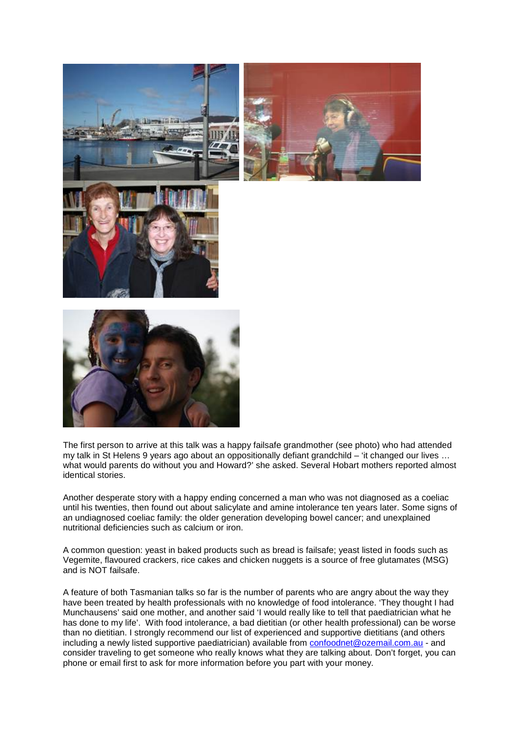

The first person to arrive at this talk was a happy failsafe grandmother (see photo) who had attended my talk in St Helens 9 years ago about an oppositionally defiant grandchild – 'it changed our lives … what would parents do without you and Howard?' she asked. Several Hobart mothers reported almost identical stories.

Another desperate story with a happy ending concerned a man who was not diagnosed as a coeliac until his twenties, then found out about salicylate and amine intolerance ten years later. Some signs of an undiagnosed coeliac family: the older generation developing bowel cancer; and unexplained nutritional deficiencies such as calcium or iron.

A common question: yeast in baked products such as bread is failsafe; yeast listed in foods such as Vegemite, flavoured crackers, rice cakes and chicken nuggets is a source of free glutamates (MSG) and is NOT failsafe.

A feature of both Tasmanian talks so far is the number of parents who are angry about the way they have been treated by health professionals with no knowledge of food intolerance. 'They thought I had Munchausens' said one mother, and another said 'I would really like to tell that paediatrician what he has done to my life'. With food intolerance, a bad dietitian (or other health professional) can be worse than no dietitian. I strongly recommend our list of experienced and supportive dietitians (and others including a newly listed supportive paediatrician) available from [confoodnet@ozemail.com.au](mailto:confoodnet@ozemail.com.au) - and consider traveling to get someone who really knows what they are talking about. Don't forget, you can phone or email first to ask for more information before you part with your money.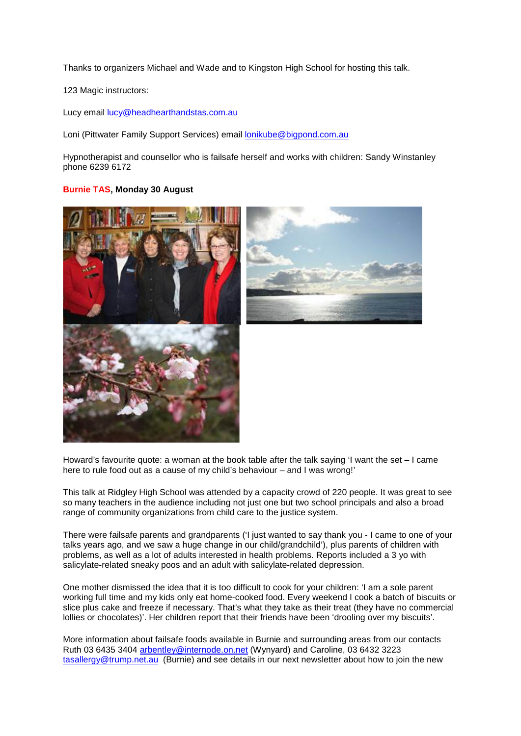Thanks to organizers Michael and Wade and to Kingston High School for hosting this talk.

123 Magic instructors:

Lucy email [lucy@headhearthandstas.com.au](mailto:lucy@headhearthandstas.com.au)

Loni (Pittwater Family Support Services) email [lonikube@bigpond.com.au](mailto:lonikube@bigpond.com.au)

Hypnotherapist and counsellor who is failsafe herself and works with children: Sandy Winstanley phone 6239 6172

# **Burnie TAS, Monday 30 August**





Howard's favourite quote: a woman at the book table after the talk saying 'I want the set  $-1$  came here to rule food out as a cause of my child's behaviour – and I was wrong!'

This talk at Ridgley High School was attended by a capacity crowd of 220 people. It was great to see so many teachers in the audience including not just one but two school principals and also a broad range of community organizations from child care to the justice system.

There were failsafe parents and grandparents ('I just wanted to say thank you - I came to one of your talks years ago, and we saw a huge change in our child/grandchild'), plus parents of children with problems, as well as a lot of adults interested in health problems. Reports included a 3 yo with salicylate-related sneaky poos and an adult with salicylate-related depression.

One mother dismissed the idea that it is too difficult to cook for your children: 'I am a sole parent working full time and my kids only eat home-cooked food. Every weekend I cook a batch of biscuits or slice plus cake and freeze if necessary. That's what they take as their treat (they have no commercial lollies or chocolates)'. Her children report that their friends have been 'drooling over my biscuits'.

More information about failsafe foods available in Burnie and surrounding areas from our contacts Ruth 03 6435 3404 [arbentley@internode.on.net](mailto:arbentley@internode.on.net) (Wynyard) and Caroline, 03 6432 3223 [tasallergy@trump.net.au](mailto:tasallergy@trump.net.au) (Burnie) and see details in our next newsletter about how to join the new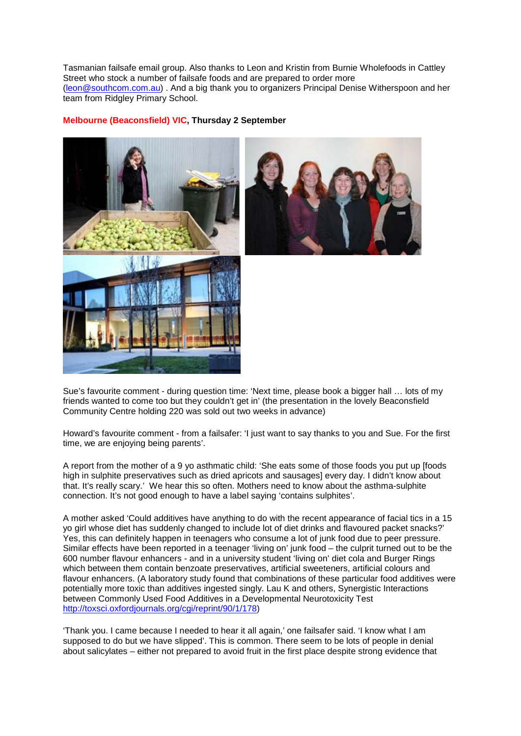Tasmanian failsafe email group. Also thanks to Leon and Kristin from Burnie Wholefoods in Cattley Street who stock a number of failsafe foods and are prepared to order more [\(leon@southcom.com.au\)](mailto:leon@southcom.com.au) . And a big thank you to organizers Principal Denise Witherspoon and her team from Ridgley Primary School.

#### **Melbourne (Beaconsfield) VIC, Thursday 2 September**





Sue's favourite comment - during question time: 'Next time, please book a bigger hall … lots of my friends wanted to come too but they couldn't get in' (the presentation in the lovely Beaconsfield Community Centre holding 220 was sold out two weeks in advance)

Howard's favourite comment - from a failsafer: 'I just want to say thanks to you and Sue. For the first time, we are enjoying being parents'.

A report from the mother of a 9 yo asthmatic child: 'She eats some of those foods you put up [foods high in sulphite preservatives such as dried apricots and sausages] every day. I didn't know about that. It's really scary.' We hear this so often. Mothers need to know about the asthma-sulphite connection. It's not good enough to have a label saying 'contains sulphites'.

A mother asked 'Could additives have anything to do with the recent appearance of facial tics in a 15 yo girl whose diet has suddenly changed to include lot of diet drinks and flavoured packet snacks?' Yes, this can definitely happen in teenagers who consume a lot of junk food due to peer pressure. Similar effects have been reported in a teenager 'living on' junk food – the culprit turned out to be the 600 number flavour enhancers - and in a university student 'living on' diet cola and Burger Rings which between them contain benzoate preservatives, artificial sweeteners, artificial colours and flavour enhancers. (A laboratory study found that combinations of these particular food additives were potentially more toxic than additives ingested singly. Lau K and others, Synergistic Interactions between Commonly Used Food Additives in a Developmental Neurotoxicity Test [http://toxsci.oxfordjournals.org/cgi/reprint/90/1/178\)](http://toxsci.oxfordjournals.org/cgi/reprint/90/1/178)

'Thank you. I came because I needed to hear it all again,' one failsafer said. 'I know what I am supposed to do but we have slipped'. This is common. There seem to be lots of people in denial about salicylates – either not prepared to avoid fruit in the first place despite strong evidence that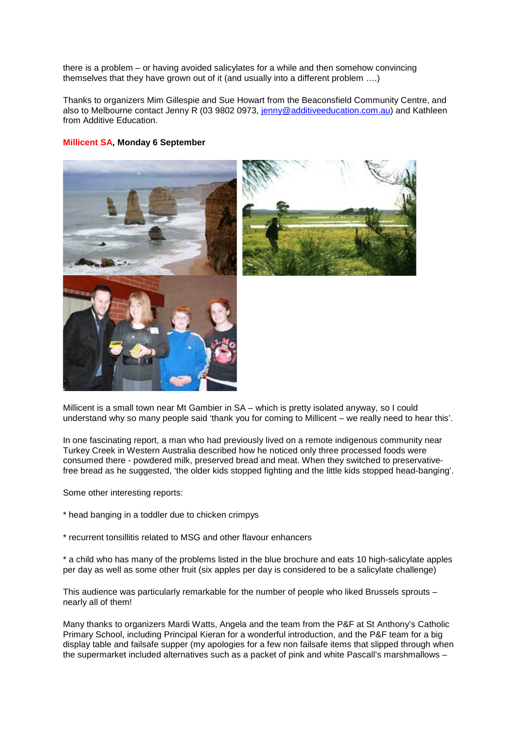there is a problem – or having avoided salicylates for a while and then somehow convincing themselves that they have grown out of it (and usually into a different problem ….)

Thanks to organizers Mim Gillespie and Sue Howart from the Beaconsfield Community Centre, and also to Melbourne contact Jenny R (03 9802 0973, [jenny@additiveeducation.com.au\)](mailto:jenny@additiveeducation.com.au) and Kathleen from Additive Education.

# **Millicent SA, Monday 6 September**





Millicent is a small town near Mt Gambier in SA – which is pretty isolated anyway, so I could understand why so many people said 'thank you for coming to Millicent – we really need to hear this'.

In one fascinating report, a man who had previously lived on a remote indigenous community near Turkey Creek in Western Australia described how he noticed only three processed foods were consumed there - powdered milk, preserved bread and meat. When they switched to preservativefree bread as he suggested, 'the older kids stopped fighting and the little kids stopped head-banging'.

Some other interesting reports:

- \* head banging in a toddler due to chicken crimpys
- \* recurrent tonsillitis related to MSG and other flavour enhancers

\* a child who has many of the problems listed in the blue brochure and eats 10 high-salicylate apples per day as well as some other fruit (six apples per day is considered to be a salicylate challenge)

This audience was particularly remarkable for the number of people who liked Brussels sprouts – nearly all of them!

Many thanks to organizers Mardi Watts, Angela and the team from the P&F at St Anthony's Catholic Primary School, including Principal Kieran for a wonderful introduction, and the P&F team for a big display table and failsafe supper (my apologies for a few non failsafe items that slipped through when the supermarket included alternatives such as a packet of pink and white Pascall's marshmallows –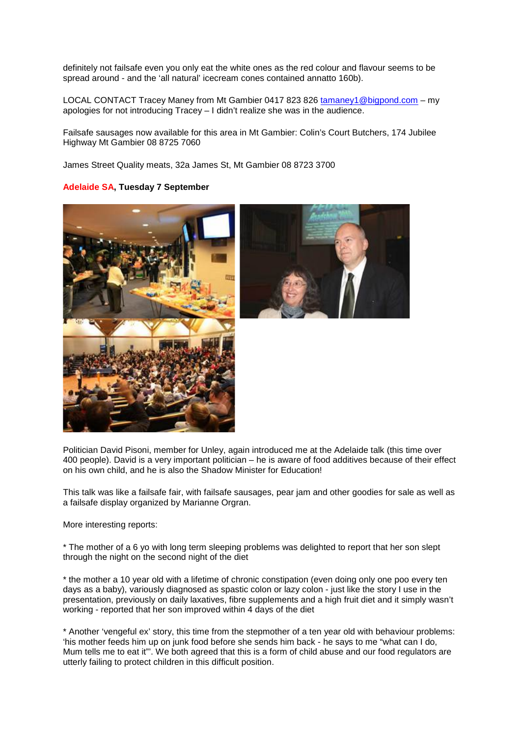definitely not failsafe even you only eat the white ones as the red colour and flavour seems to be spread around - and the 'all natural' icecream cones contained annatto 160b).

LOCAL CONTACT Tracey Maney from Mt Gambier 0417 823 826 [tamaney1@bigpond.com](mailto:tamaney1@bigpond.com) – my apologies for not introducing Tracey – I didn't realize she was in the audience.

Failsafe sausages now available for this area in Mt Gambier: Colin's Court Butchers, 174 Jubilee Highway Mt Gambier 08 8725 7060

James Street Quality meats, 32a James St, Mt Gambier 08 8723 3700

# **Adelaide SA, Tuesday 7 September**





Politician David Pisoni, member for Unley, again introduced me at the Adelaide talk (this time over 400 people). David is a very important politician – he is aware of food additives because of their effect on his own child, and he is also the Shadow Minister for Education!

This talk was like a failsafe fair, with failsafe sausages, pear jam and other goodies for sale as well as a failsafe display organized by Marianne Orgran.

More interesting reports:

\* The mother of a 6 yo with long term sleeping problems was delighted to report that her son slept through the night on the second night of the diet

\* the mother a 10 year old with a lifetime of chronic constipation (even doing only one poo every ten days as a baby), variously diagnosed as spastic colon or lazy colon - just like the story I use in the presentation, previously on daily laxatives, fibre supplements and a high fruit diet and it simply wasn't working - reported that her son improved within 4 days of the diet

\* Another 'vengeful ex' story, this time from the stepmother of a ten year old with behaviour problems: 'his mother feeds him up on junk food before she sends him back - he says to me "what can I do, Mum tells me to eat it"'. We both agreed that this is a form of child abuse and our food regulators are utterly failing to protect children in this difficult position.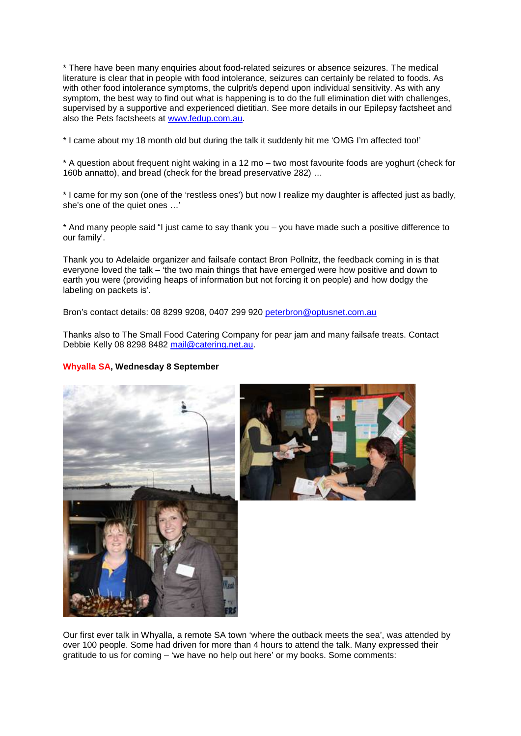\* There have been many enquiries about food-related seizures or absence seizures. The medical literature is clear that in people with food intolerance, seizures can certainly be related to foods. As with other food intolerance symptoms, the culprit/s depend upon individual sensitivity. As with any symptom, the best way to find out what is happening is to do the full elimination diet with challenges, supervised by a supportive and experienced dietitian. See more details in our Epilepsy factsheet and also the Pets factsheets at [www.fedup.com.au.](http://www.fedup.com.au/)

\* I came about my 18 month old but during the talk it suddenly hit me 'OMG I'm affected too!'

\* A question about frequent night waking in a 12 mo – two most favourite foods are yoghurt (check for 160b annatto), and bread (check for the bread preservative 282) …

\* I came for my son (one of the 'restless ones') but now I realize my daughter is affected just as badly, she's one of the quiet ones …'

\* And many people said "I just came to say thank you – you have made such a positive difference to our family'.

Thank you to Adelaide organizer and failsafe contact Bron Pollnitz, the feedback coming in is that everyone loved the talk – 'the two main things that have emerged were how positive and down to earth you were (providing heaps of information but not forcing it on people) and how dodgy the labeling on packets is'.

Bron's contact details: 08 8299 9208, 0407 299 920 [peterbron@optusnet.com.au](mailto:peterbron@optusnet.com.au)

Thanks also to The Small Food Catering Company for pear jam and many failsafe treats. Contact Debbie Kelly 08 8298 8482 [mail@catering.net.au.](mailto:mail@catering.net.au)

### **Whyalla SA, Wednesday 8 September**





Our first ever talk in Whyalla, a remote SA town 'where the outback meets the sea', was attended by over 100 people. Some had driven for more than 4 hours to attend the talk. Many expressed their gratitude to us for coming – 'we have no help out here' or my books. Some comments: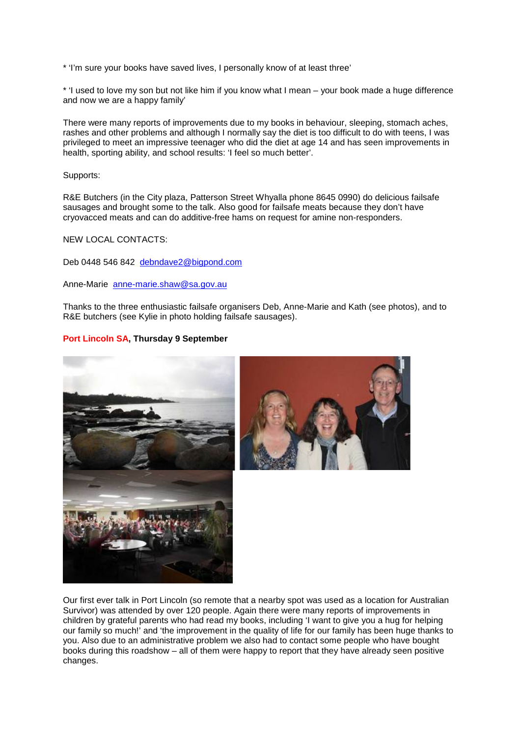\* 'I'm sure your books have saved lives, I personally know of at least three'

\* 'I used to love my son but not like him if you know what I mean – your book made a huge difference and now we are a happy family'

There were many reports of improvements due to my books in behaviour, sleeping, stomach aches, rashes and other problems and although I normally say the diet is too difficult to do with teens, I was privileged to meet an impressive teenager who did the diet at age 14 and has seen improvements in health, sporting ability, and school results: 'I feel so much better'.

Supports:

R&E Butchers (in the City plaza, Patterson Street Whyalla phone 8645 0990) do delicious failsafe sausages and brought some to the talk. Also good for failsafe meats because they don't have cryovacced meats and can do additive-free hams on request for amine non-responders.

NEW LOCAL CONTACTS:

Deb 0448 546 842 [debndave2@bigpond.com](mailto:debndave2@bigpond.com)

Anne-Marie [anne-marie.shaw@sa.gov.au](mailto:anne-marie.shaw@sa.gov.au)

Thanks to the three enthusiastic failsafe organisers Deb, Anne-Marie and Kath (see photos), and to R&E butchers (see Kylie in photo holding failsafe sausages).

# **Port Lincoln SA, Thursday 9 September**





Our first ever talk in Port Lincoln (so remote that a nearby spot was used as a location for Australian Survivor) was attended by over 120 people. Again there were many reports of improvements in children by grateful parents who had read my books, including 'I want to give you a hug for helping our family so much!' and 'the improvement in the quality of life for our family has been huge thanks to you. Also due to an administrative problem we also had to contact some people who have bought books during this roadshow – all of them were happy to report that they have already seen positive changes.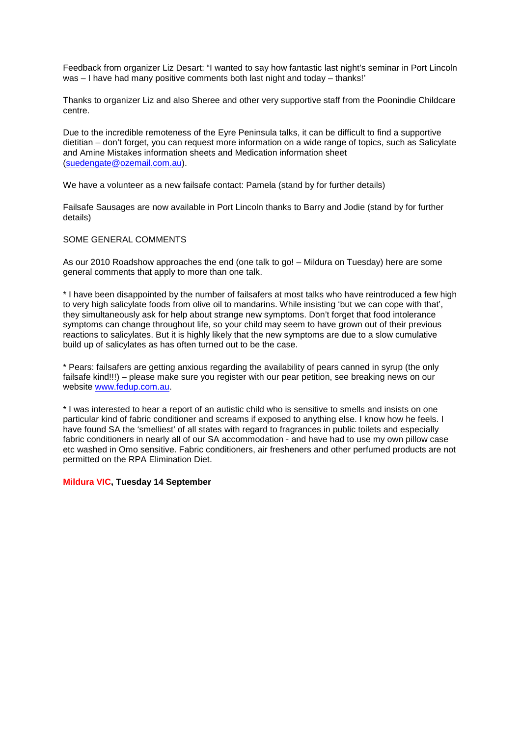Feedback from organizer Liz Desart: "I wanted to say how fantastic last night's seminar in Port Lincoln was – I have had many positive comments both last night and today – thanks!'

Thanks to organizer Liz and also Sheree and other very supportive staff from the Poonindie Childcare centre.

Due to the incredible remoteness of the Eyre Peninsula talks, it can be difficult to find a supportive dietitian – don't forget, you can request more information on a wide range of topics, such as Salicylate and Amine Mistakes information sheets and Medication information sheet [\(suedengate@ozemail.com.au\)](mailto:suedengate@ozemail.com.au).

We have a volunteer as a new failsafe contact: Pamela (stand by for further details)

Failsafe Sausages are now available in Port Lincoln thanks to Barry and Jodie (stand by for further details)

### SOME GENERAL COMMENTS

As our 2010 Roadshow approaches the end (one talk to go! – Mildura on Tuesday) here are some general comments that apply to more than one talk.

\* I have been disappointed by the number of failsafers at most talks who have reintroduced a few high to very high salicylate foods from olive oil to mandarins. While insisting 'but we can cope with that', they simultaneously ask for help about strange new symptoms. Don't forget that food intolerance symptoms can change throughout life, so your child may seem to have grown out of their previous reactions to salicylates. But it is highly likely that the new symptoms are due to a slow cumulative build up of salicylates as has often turned out to be the case.

\* Pears: failsafers are getting anxious regarding the availability of pears canned in syrup (the only failsafe kind!!!) – please make sure you register with our pear petition, see breaking news on our website [www.fedup.com.au.](http://www.fedup.com.au/)

\* I was interested to hear a report of an autistic child who is sensitive to smells and insists on one particular kind of fabric conditioner and screams if exposed to anything else. I know how he feels. I have found SA the 'smelliest' of all states with regard to fragrances in public toilets and especially fabric conditioners in nearly all of our SA accommodation - and have had to use my own pillow case etc washed in Omo sensitive. Fabric conditioners, air fresheners and other perfumed products are not permitted on the RPA Elimination Diet.

#### **Mildura VIC, Tuesday 14 September**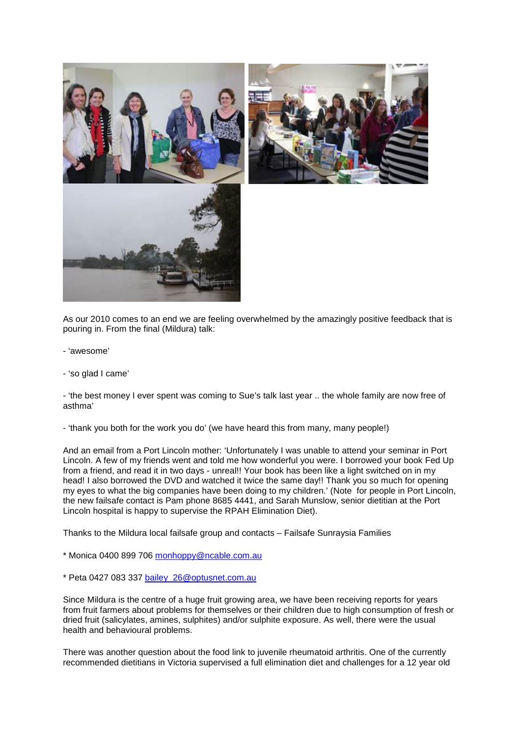

As our 2010 comes to an end we are feeling overwhelmed by the amazingly positive feedback that is pouring in. From the final (Mildura) talk:

- 'awesome'
- 'so glad I came'

- 'the best money I ever spent was coming to Sue's talk last year .. the whole family are now free of asthma'

- 'thank you both for the work you do' (we have heard this from many, many people!)

And an email from a Port Lincoln mother: 'Unfortunately I was unable to attend your seminar in Port Lincoln. A few of my friends went and told me how wonderful you were. I borrowed your book Fed Up from a friend, and read it in two days - unreal!! Your book has been like a light switched on in my head! I also borrowed the DVD and watched it twice the same day!! Thank you so much for opening my eyes to what the big companies have been doing to my children.' (Note for people in Port Lincoln, the new failsafe contact is Pam phone 8685 4441, and Sarah Munslow, senior dietitian at the Port Lincoln hospital is happy to supervise the RPAH Elimination Diet).

Thanks to the Mildura local failsafe group and contacts – Failsafe Sunraysia Families

- \* Monica 0400 899 706 [monhoppy@ncable.com.au](mailto:monhoppy@ncable.com.au)
- \* Peta 0427 083 337 [bailey\\_26@optusnet.com.au](mailto:bailey_26@optusnet.com.au)

Since Mildura is the centre of a huge fruit growing area, we have been receiving reports for years from fruit farmers about problems for themselves or their children due to high consumption of fresh or dried fruit (salicylates, amines, sulphites) and/or sulphite exposure. As well, there were the usual health and behavioural problems.

There was another question about the food link to juvenile rheumatoid arthritis. One of the currently recommended dietitians in Victoria supervised a full elimination diet and challenges for a 12 year old